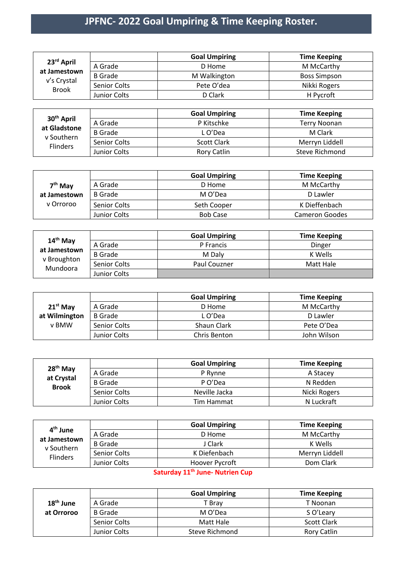## **JPFNC- 2022 Goal Umpiring & Time Keeping Roster.**

| 23 <sup>rd</sup> April<br>at Jamestown<br>v's Crystal<br><b>Brook</b> |                | <b>Goal Umpiring</b> | <b>Time Keeping</b> |
|-----------------------------------------------------------------------|----------------|----------------------|---------------------|
|                                                                       | A Grade        | D Home               | M McCarthy          |
|                                                                       | <b>B</b> Grade | M Walkington         | <b>Boss Simpson</b> |
|                                                                       | Senior Colts   | Pete O'dea           | Nikki Rogers        |
|                                                                       | Junior Colts   | D Clark              | H Pycroft           |
|                                                                       |                |                      |                     |

| 30 <sup>th</sup> April<br>at Gladstone<br>v Southern<br><b>Flinders</b> |                | <b>Goal Umpiring</b> | <b>Time Keeping</b> |
|-------------------------------------------------------------------------|----------------|----------------------|---------------------|
|                                                                         | A Grade        | P Kitschke           | Terry Noonan        |
|                                                                         | <b>B</b> Grade | L O'Dea              | M Clark             |
|                                                                         | Senior Colts   | Scott Clark          | Merryn Liddell      |
|                                                                         | Junior Colts   | Rory Catlin          | Steve Richmond      |

|              |                | <b>Goal Umpiring</b> | <b>Time Keeping</b> |
|--------------|----------------|----------------------|---------------------|
| $7th$ May    | A Grade        | D Home               | M McCarthy          |
| at Jamestown | <b>B</b> Grade | M O'Dea              | D Lawler            |
| v Orroroo    | Senior Colts   | Seth Cooper          | K Dieffenbach       |
|              | Junior Colts   | <b>Bob Case</b>      | Cameron Goodes      |

|                                                                 |                | <b>Goal Umpiring</b> | <b>Time Keeping</b> |
|-----------------------------------------------------------------|----------------|----------------------|---------------------|
| 14 <sup>th</sup> May<br>at Jamestown<br>v Broughton<br>Mundoora | A Grade        | P Francis            | Dinger              |
|                                                                 | <b>B</b> Grade | M Dalv               | K Wells             |
|                                                                 | Senior Colts   | <b>Paul Couzner</b>  | Matt Hale           |
|                                                                 | Junior Colts   |                      |                     |

|               |                | <b>Goal Umpiring</b> | <b>Time Keeping</b> |
|---------------|----------------|----------------------|---------------------|
| $21^{st}$ May | A Grade        | D Home               | M McCarthy          |
| at Wilmington | <b>B</b> Grade | L O'Dea              | D Lawler            |
| v BMW         | Senior Colts   | Shaun Clark          | Pete O'Dea          |
|               | Junior Colts   | Chris Benton         | John Wilson         |

| 28 <sup>th</sup> May<br>at Crystal<br><b>Brook</b> |                | <b>Goal Umpiring</b> | <b>Time Keeping</b> |
|----------------------------------------------------|----------------|----------------------|---------------------|
|                                                    | A Grade        | P Rynne              | A Stacey            |
|                                                    | <b>B</b> Grade | P O'Dea              | N Redden            |
|                                                    | Senior Colts   | Neville Jacka        | Nicki Rogers        |
|                                                    | Junior Colts   | Tim Hammat           | N Luckraft          |

| 4 <sup>th</sup> June<br>at Jamestown<br>v Southern<br><b>Flinders</b> |                | <b>Goal Umpiring</b> | <b>Time Keeping</b> |
|-----------------------------------------------------------------------|----------------|----------------------|---------------------|
|                                                                       | A Grade        | D Home               | M McCarthy          |
|                                                                       | <b>B</b> Grade | J Clark              | K Wells             |
|                                                                       | Senior Colts   | K Diefenbach         | Merryn Liddell      |
|                                                                       | Junior Colts   | Hoover Pycroft       | Dom Clark           |

## **Saturday 11th June- Nutrien Cup**

|             |                | <b>Goal Umpiring</b> | <b>Time Keeping</b> |
|-------------|----------------|----------------------|---------------------|
| $18th$ June | A Grade        | T Brav               | T Noonan            |
| at Orroroo  | <b>B</b> Grade | M O'Dea              | S O'Leary           |
|             | Senior Colts   | Matt Hale            | <b>Scott Clark</b>  |
|             | Junior Colts   | Steve Richmond       | <b>Rory Catlin</b>  |